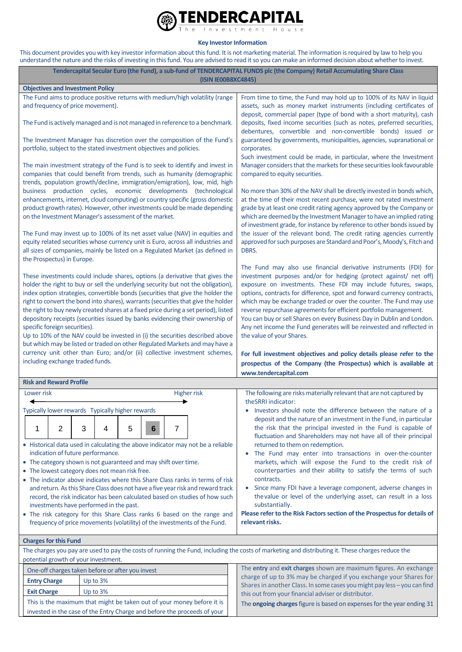

**Key Investor Information**

This document provides you with key investor information about this fund. It is not marketing material. The information is required by law to help you understand the nature and the risks of investing in this fund. You are advised to read it so you can make an informed decision about whether to invest.

| Tendercapital Secular Euro (the Fund), a sub-fund of TENDERCAPITAL FUNDS plc (the Company) Retail Accumulating Share Class<br>(ISIN IE00B8XC4845)                                                                                                                                                                                                                                                                                                                                                                                                                                                                                                                                                                |  |                                                                                                                                                                                                                                                                                                                                                                                                                                                                                                                                                                                                                                                                                                                                                                                                                                                                                                                                                                                                                                      |  |
|------------------------------------------------------------------------------------------------------------------------------------------------------------------------------------------------------------------------------------------------------------------------------------------------------------------------------------------------------------------------------------------------------------------------------------------------------------------------------------------------------------------------------------------------------------------------------------------------------------------------------------------------------------------------------------------------------------------|--|--------------------------------------------------------------------------------------------------------------------------------------------------------------------------------------------------------------------------------------------------------------------------------------------------------------------------------------------------------------------------------------------------------------------------------------------------------------------------------------------------------------------------------------------------------------------------------------------------------------------------------------------------------------------------------------------------------------------------------------------------------------------------------------------------------------------------------------------------------------------------------------------------------------------------------------------------------------------------------------------------------------------------------------|--|
| <b>Objectives and Investment Policy</b>                                                                                                                                                                                                                                                                                                                                                                                                                                                                                                                                                                                                                                                                          |  |                                                                                                                                                                                                                                                                                                                                                                                                                                                                                                                                                                                                                                                                                                                                                                                                                                                                                                                                                                                                                                      |  |
| The Fund aims to produce positive returns with medium/high volatility (range<br>and frequency of price movement).                                                                                                                                                                                                                                                                                                                                                                                                                                                                                                                                                                                                |  | From time to time, the Fund may hold up to 100% of its NAV in liquid<br>assets, such as money market instruments (including certificates of                                                                                                                                                                                                                                                                                                                                                                                                                                                                                                                                                                                                                                                                                                                                                                                                                                                                                          |  |
| The Fund is actively managed and is not managed in reference to a benchmark.                                                                                                                                                                                                                                                                                                                                                                                                                                                                                                                                                                                                                                     |  | deposit, commercial paper (type of bond with a short maturity), cash<br>deposits, fixed income securities (such as notes, preferred securities,<br>debentures, convertible and non-convertible bonds) issued or<br>guaranteed by governments, municipalities, agencies, supranational or<br>corporates.<br>Such investment could be made, in particular, where the Investment<br>Manager considers that the markets for these securities look favourable<br>compared to equity securities.<br>No more than 30% of the NAV shall be directly invested in bonds which,<br>at the time of their most recent purchase, were not rated investment<br>grade by at least one credit rating agency approved by the Company or<br>which are deemed by the Investment Manager to have an implied rating<br>of investment grade, for instance by reference to other bonds issued by<br>the issuer of the relevant bond. The credit rating agencies currently<br>approved for such purposes are Standard and Poor's, Moody's, Fitch and<br>DBRS. |  |
| The Investment Manager has discretion over the composition of the Fund's<br>portfolio, subject to the stated investment objectives and policies.                                                                                                                                                                                                                                                                                                                                                                                                                                                                                                                                                                 |  |                                                                                                                                                                                                                                                                                                                                                                                                                                                                                                                                                                                                                                                                                                                                                                                                                                                                                                                                                                                                                                      |  |
| The main investment strategy of the Fund is to seek to identify and invest in<br>companies that could benefit from trends, such as humanity (demographic<br>trends, population growth/decline, immigration/emigration), low, mid, high<br>business production cycles, economic developments (technological<br>enhancements, internet, cloud computing) or country specific (gross domestic<br>product growth rates). However, other investments could be made depending<br>on the Investment Manager's assessment of the market.                                                                                                                                                                                 |  |                                                                                                                                                                                                                                                                                                                                                                                                                                                                                                                                                                                                                                                                                                                                                                                                                                                                                                                                                                                                                                      |  |
| The Fund may invest up to 100% of its net asset value (NAV) in equities and<br>equity related securities whose currency unit is Euro, across all industries and<br>all sizes of companies, mainly be listed on a Regulated Market (as defined in<br>the Prospectus) in Europe.                                                                                                                                                                                                                                                                                                                                                                                                                                   |  |                                                                                                                                                                                                                                                                                                                                                                                                                                                                                                                                                                                                                                                                                                                                                                                                                                                                                                                                                                                                                                      |  |
| These investments could include shares, options (a derivative that gives the<br>holder the right to buy or sell the underlying security but not the obligation),<br>index option strategies, convertible bonds (securities that give the holder the<br>right to convert the bond into shares), warrants (securities that give the holder<br>the right to buy newly created shares at a fixed price during a set period), listed<br>depository receipts (securities issued by banks evidencing their ownership of<br>specific foreign securities).<br>Up to 10% of the NAV could be invested in (i) the securities described above<br>but which may be listed or traded on other Regulated Markets and may have a |  | The Fund may also use financial derivative instruments (FDI) for<br>investment purposes and/or for hedging (protect against/ net off)<br>exposure on investments. These FDI may include futures, swaps,<br>options, contracts for difference, spot and forward currency contracts,<br>which may be exchange traded or over the counter. The Fund may use<br>reverse repurchase agreements for efficient portfolio management.<br>You can buy or sell Shares on every Business Day in Dublin and London.<br>Any net income the Fund generates will be reinvested and reflected in<br>the value of your Shares.                                                                                                                                                                                                                                                                                                                                                                                                                        |  |
| currency unit other than Euro; and/or (ii) collective investment schemes,<br>including exchange traded funds.                                                                                                                                                                                                                                                                                                                                                                                                                                                                                                                                                                                                    |  | For full investment objectives and policy details please refer to the<br>prospectus of the Company (the Prospectus) which is available at                                                                                                                                                                                                                                                                                                                                                                                                                                                                                                                                                                                                                                                                                                                                                                                                                                                                                            |  |
|                                                                                                                                                                                                                                                                                                                                                                                                                                                                                                                                                                                                                                                                                                                  |  | www.tendercapital.com                                                                                                                                                                                                                                                                                                                                                                                                                                                                                                                                                                                                                                                                                                                                                                                                                                                                                                                                                                                                                |  |
| <b>Risk and Reward Profile</b>                                                                                                                                                                                                                                                                                                                                                                                                                                                                                                                                                                                                                                                                                   |  |                                                                                                                                                                                                                                                                                                                                                                                                                                                                                                                                                                                                                                                                                                                                                                                                                                                                                                                                                                                                                                      |  |
| Lower risk<br><b>Higher risk</b>                                                                                                                                                                                                                                                                                                                                                                                                                                                                                                                                                                                                                                                                                 |  | The following are risks materially relevant that are not captured by<br>theSRRI indicator:                                                                                                                                                                                                                                                                                                                                                                                                                                                                                                                                                                                                                                                                                                                                                                                                                                                                                                                                           |  |
| Typically lower rewards Typically higher rewards<br>7<br>2<br>3<br>5<br>1<br>4<br>6                                                                                                                                                                                                                                                                                                                                                                                                                                                                                                                                                                                                                              |  | Investors should note the difference between the nature of a<br>deposit and the nature of an investment in the Fund, in particular<br>the risk that the principal invested in the Fund is capable of<br>fluctuation and Shareholders may not have all of their principal                                                                                                                                                                                                                                                                                                                                                                                                                                                                                                                                                                                                                                                                                                                                                             |  |
| • Historical data used in calculating the above indicator may not be a reliable<br>indication of future performance.<br>• The category shown is not guaranteed and may shift over time.<br>• The lowest category does not mean risk free.<br>• The indicator above indicates where this Share Class ranks in terms of risk<br>and return. As this Share Class does not have a five year risk and reward track<br>record, the risk indicator has been calculated based on studies of how such<br>investments have performed in the past.<br>• The risk category for this Share Class ranks 6 based on the range and<br>frequency of price movements (volatility) of the investments of the Fund.                  |  | returned to them on redemption.<br>• The Fund may enter into transactions in over-the-counter<br>markets, which will expose the Fund to the credit risk of<br>counterparties and their ability to satisfy the terms of such<br>contracts.<br>Since many FDI have a leverage component, adverse changes in<br>۰<br>the value or level of the underlying asset, can result in a loss<br>substantially.<br>Please refer to the Risk Factors section of the Prospectus for details of<br>relevant risks.                                                                                                                                                                                                                                                                                                                                                                                                                                                                                                                                 |  |
| <b>Charges for this Fund</b>                                                                                                                                                                                                                                                                                                                                                                                                                                                                                                                                                                                                                                                                                     |  |                                                                                                                                                                                                                                                                                                                                                                                                                                                                                                                                                                                                                                                                                                                                                                                                                                                                                                                                                                                                                                      |  |
| The charges you pay are used to pay the costs of running the Fund, including the costs of marketing and distributing it. These charges reduce the                                                                                                                                                                                                                                                                                                                                                                                                                                                                                                                                                                |  |                                                                                                                                                                                                                                                                                                                                                                                                                                                                                                                                                                                                                                                                                                                                                                                                                                                                                                                                                                                                                                      |  |
| potential growth of your investment.<br>The entry and exit charges shown are maximum figures. An exchange                                                                                                                                                                                                                                                                                                                                                                                                                                                                                                                                                                                                        |  |                                                                                                                                                                                                                                                                                                                                                                                                                                                                                                                                                                                                                                                                                                                                                                                                                                                                                                                                                                                                                                      |  |
| One-off charges taken before or after you invest<br>Up to 3%                                                                                                                                                                                                                                                                                                                                                                                                                                                                                                                                                                                                                                                     |  | charge of up to 3% may be charged if you exchange your Shares for<br>Shares in another Class. In some cases you might pay less - you can find                                                                                                                                                                                                                                                                                                                                                                                                                                                                                                                                                                                                                                                                                                                                                                                                                                                                                        |  |
| <b>Entry Charge</b><br><b>Exit Charge</b><br>Up to 3%                                                                                                                                                                                                                                                                                                                                                                                                                                                                                                                                                                                                                                                            |  |                                                                                                                                                                                                                                                                                                                                                                                                                                                                                                                                                                                                                                                                                                                                                                                                                                                                                                                                                                                                                                      |  |
| This is the maximum that might be taken out of your money before it is                                                                                                                                                                                                                                                                                                                                                                                                                                                                                                                                                                                                                                           |  | this out from your financial adviser or distributor.<br>The <b>ongoing charges</b> figure is based on expenses for the year ending 31                                                                                                                                                                                                                                                                                                                                                                                                                                                                                                                                                                                                                                                                                                                                                                                                                                                                                                |  |

invested in the case of the Entry Charge and before the proceeds of your The **ongoing charges**figure is based on expenses for the year ending 31